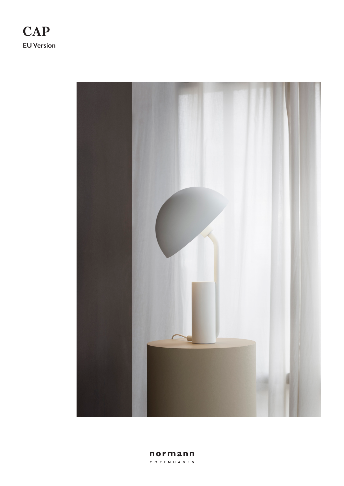



normann C O P E N H A G E N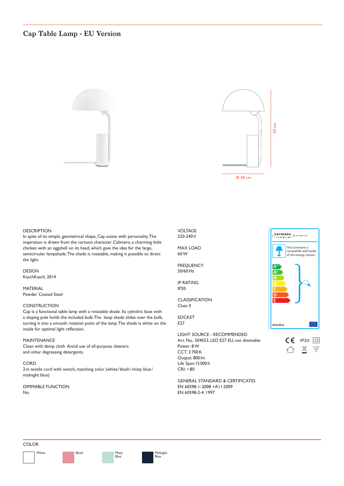# **Cap Table Lamp - EU Version**

![](_page_1_Picture_1.jpeg)

![](_page_1_Figure_2.jpeg)

# **DESCRIPTION**

In spite of its simple, geometrical shape, Cap oozes with personality. The inspiration is drawn from the cartoon character Calimero, a charming little chicken with an eggshell on its head, which gave the idea for the large, semicircular lampshade. The shade is rotatable, making it possible to direct the light.

DESIGN KaschKasch, 2014

MATERIAL Powder Coated Steel

## **CONSTRUCTION**

Cap is a functional table lamp with a rotatable shade. Its cylindric base with a sloping pole holds the included bulb. The lamp shade slides over the bulb, turning it into a smooth rotation point of the lamp. The shade is white on the inside for optimal light refection.

## MAINTENANCE

Clean with damp cloth. Avoid use of all-purpose cleaners and other degreasing detergents.

### **CORD**

2m textile cord with switch, matching color (white/blush/misty blue/ midnight blue)

### DIMMABLE FUNCTION No

VOLTAGE 220-240 V

MAX LOAD 60 W

FREQUENCY 50/60Hz

IP RATING IP20

CLASSIFICATION Class II

#### SOCKET E<sub>27</sub>

LIGHT SOURCE - RECOMMENDED Art. No.: 504053, LED E27 EU, not dimmable Power: 8 W CCT: 2 700K Output: 800 lm Life Span:15 000 h  $CRI: ~ 80$ 

![](_page_1_Picture_21.jpeg)

**normann** || Cap Table Lamp

![](_page_1_Figure_22.jpeg)

GENERAL STANDARD & CERTIFICATES EN 60598-1: 2008 +A11:2009 EN 60598-2-4: 1997

### COLOR

White **Misty** Blush **Misty** 

Blush

Blue

![](_page_1_Picture_30.jpeg)

Midnight .<br>Blue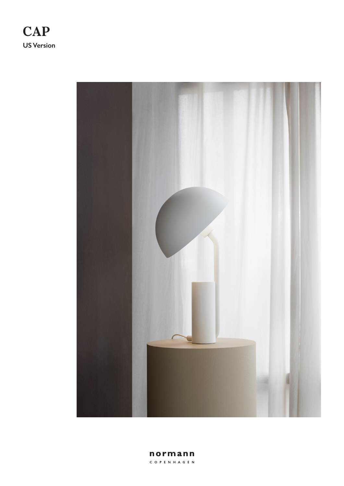![](_page_2_Picture_0.jpeg)

![](_page_2_Picture_1.jpeg)

normann C O P E N H A G E N